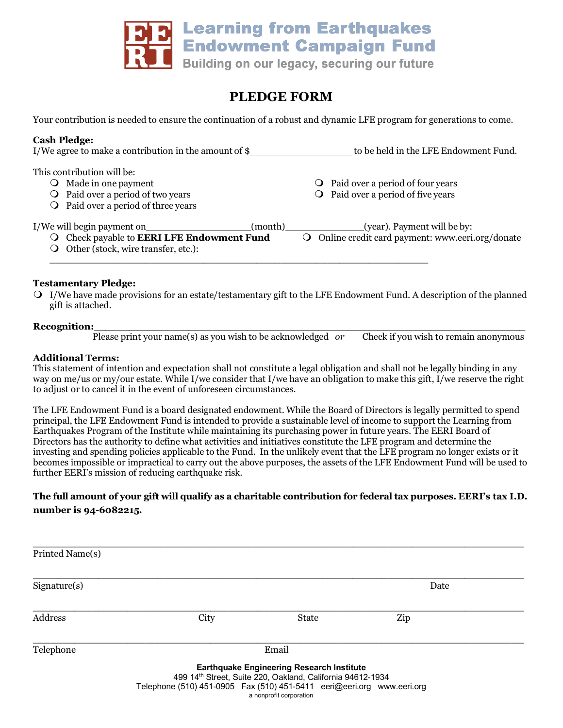

# **PLEDGE FORM**

Your contribution is needed to ensure the continuation of a robust and dynamic LFE program for generations to come.

| <b>Cash Pledge:</b><br>I/We agree to make a contribution in the amount of $\frac{1}{2}$                                                               | to be held in the LFE Endowment Fund.                                                    |  |  |
|-------------------------------------------------------------------------------------------------------------------------------------------------------|------------------------------------------------------------------------------------------|--|--|
| This contribution will be:<br>Made in one payment<br>$\cup$<br><b>O</b> Paid over a period of two years<br><b>O</b> Paid over a period of three years | <b>O</b> Paid over a period of four years<br>$\bigcirc$ Paid over a period of five years |  |  |
| I/We will begin payment on<br>(month)<br>O Check payable to <b>EERI LFE Endowment Fund</b><br>Other (stock, wire transfer, etc.):                     | (year). Payment will be by:<br>O Online credit card payment: www.eeri.org/donate         |  |  |

### **Testamentary Pledge:**

 $\Omega$  I/We have made provisions for an estate/testamentary gift to the LFE Endowment Fund. A description of the planned gift is attached.

#### Recognition:

Please print your name(s) as you wish to be acknowledged *or*  Check if you wish to remain anonymous

#### **Additional Terms:**

This statement of intention and expectation shall not constitute a legal obligation and shall not be legally binding in any way on me/us or my/our estate. While I/we consider that I/we have an obligation to make this gift, I/we reserve the right to adjust or to cancel it in the event of unforeseen circumstances.

The LFE Endowment Fund is a board designated endowment. While the Board of Directors is legally permitted to spend principal, the LFE Endowment Fund is intended to provide a sustainable level of income to support the Learning from Earthquakes Program of the Institute while maintaining its purchasing power in future years. The EERI Board of Directors has the authority to define what activities and initiatives constitute the LFE program and determine the investing and spending policies applicable to the Fund. In the unlikely event that the LFE program no longer exists or it becomes impossible or impractical to carry out the above purposes, the assets of the LFE Endowment Fund will be used to further EERI's mission of reducing earthquake risk.

## **The full amount of your gift will qualify as a charitable contribution for federal tax purposes. EERI's tax I.D. number is 94-6082215.**

| Printed Name(s) |                                                                           |                                                                                                                                           |      |  |
|-----------------|---------------------------------------------------------------------------|-------------------------------------------------------------------------------------------------------------------------------------------|------|--|
| Sigmaer(s)      |                                                                           |                                                                                                                                           | Date |  |
| Address         | City                                                                      | State                                                                                                                                     | Zip  |  |
| Telephone       | Email                                                                     |                                                                                                                                           |      |  |
|                 | Telephone (510) 451-0905  Fax (510) 451-5411  eeri@eeri.org  www.eeri.org | <b>Earthquake Engineering Research Institute</b><br>499 14th Street, Suite 220, Oakland, California 94612-1934<br>a nonprofit corporation |      |  |